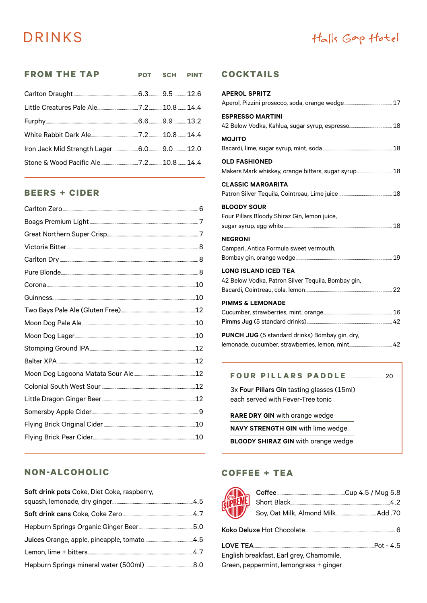# **DRINKS**

## Halls Gop Hotel

| <b>FROM THE TAP</b> | POT SCH PINT |  |
|---------------------|--------------|--|
|                     |              |  |
|                     |              |  |
|                     |              |  |
|                     |              |  |
|                     |              |  |
|                     |              |  |

## **BEERS + CIDER**

### NON-ALCOHOLIC

| Soft drink pots Coke, Diet Coke, raspberry, |  |
|---------------------------------------------|--|
|                                             |  |
|                                             |  |
|                                             |  |
|                                             |  |
|                                             |  |
|                                             |  |

#### **COCKTAILS**

| <b>APEROL SPRITZ</b>                                                              |  |
|-----------------------------------------------------------------------------------|--|
|                                                                                   |  |
| <b>ESPRESSO MARTINI</b>                                                           |  |
| <b>MOJITO</b>                                                                     |  |
| <b>OLD FASHIONED</b><br>Makers Mark whiskey, orange bitters, sugar syrup 18       |  |
| <b>CLASSIC MARGARITA</b>                                                          |  |
| <b>BLOODY SOUR</b><br>Four Pillars Bloody Shiraz Gin, lemon juice,                |  |
| <b>NEGRONI</b><br>Campari, Antica Formula sweet vermouth,                         |  |
| <b>LONG ISLAND ICED TEA</b><br>42 Below Vodka, Patron Silver Tequila, Bombay gin, |  |
| <b>PIMMS &amp; LEMONADE</b>                                                       |  |
| <b>PUNCH JUG</b> (5 standard drinks) Bombay gin, dry,                             |  |

#### FOUR PILLARS PADDLE 20

3x Four Pillars Gin tasting glasses (15ml) each served with Fever-Tree tonic

RARE DRY GIN with orange wedge

NAVY STRENGTH GIN with lime wedge

**BLOODY SHIRAZ GIN with orange wedge** 

### **COFFEE + TEA**

| <b>REAL PREME)</b> |                                         |  |
|--------------------|-----------------------------------------|--|
|                    |                                         |  |
|                    |                                         |  |
|                    | Frailich breakfast Farl suou Chamannila |  |

English breakfast, Earl grey, Chamomile, Green, peppermint, lemongrass + ginger